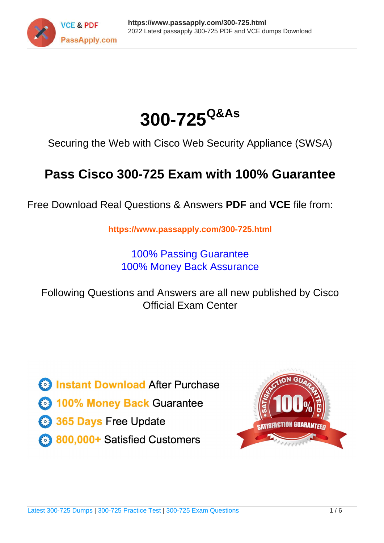



Securing the Web with Cisco Web Security Appliance (SWSA)

# **Pass Cisco 300-725 Exam with 100% Guarantee**

Free Download Real Questions & Answers **PDF** and **VCE** file from:

**https://www.passapply.com/300-725.html**

100% Passing Guarantee 100% Money Back Assurance

Following Questions and Answers are all new published by Cisco Official Exam Center

**C** Instant Download After Purchase

**83 100% Money Back Guarantee** 

- 365 Days Free Update
- 800,000+ Satisfied Customers

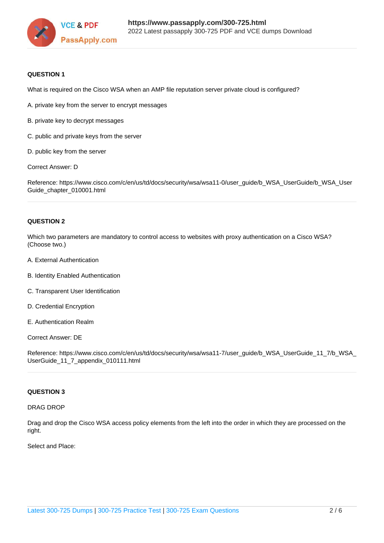

#### **QUESTION 1**

What is required on the Cisco WSA when an AMP file reputation server private cloud is configured?

- A. private key from the server to encrypt messages
- B. private key to decrypt messages
- C. public and private keys from the server
- D. public key from the server

Correct Answer: D

Reference: https://www.cisco.com/c/en/us/td/docs/security/wsa/wsa11-0/user\_guide/b\_WSA\_UserGuide/b\_WSA\_User Guide\_chapter\_010001.html

### **QUESTION 2**

Which two parameters are mandatory to control access to websites with proxy authentication on a Cisco WSA? (Choose two.)

- A. External Authentication
- B. Identity Enabled Authentication
- C. Transparent User Identification
- D. Credential Encryption
- E. Authentication Realm

Correct Answer: DE

Reference: https://www.cisco.com/c/en/us/td/docs/security/wsa/wsa11-7/user\_guide/b\_WSA\_UserGuide\_11\_7/b\_WSA\_ UserGuide\_11\_7\_appendix\_010111.html

#### **QUESTION 3**

#### DRAG DROP

Drag and drop the Cisco WSA access policy elements from the left into the order in which they are processed on the right.

Select and Place: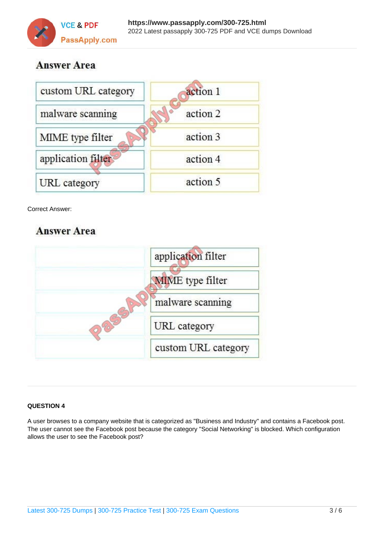

# **Answer Area**



Correct Answer:

# **Answer Area**



## **QUESTION 4**

A user browses to a company website that is categorized as "Business and Industry" and contains a Facebook post. The user cannot see the Facebook post because the category "Social Networking" is blocked. Which configuration allows the user to see the Facebook post?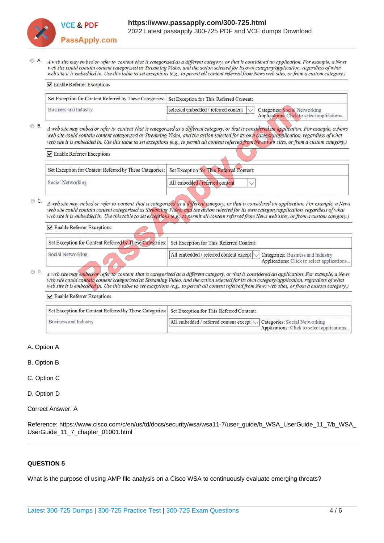

**□** Enable Referrer Exceptions

A web site may embed or refer to content that is categorized as a different category, or that is considered an application. For example, a News web site could contain content categorized as Streaming Video, and the action selected for its own category/application, regardless of what web site it is embedded in. Use this table to set exceptions (e.g., to permit all content referred from News web sites, or from a custom category.)

| $\triangleright$ Enable Referrer Exceptions                                                        |                                                                                                                     |
|----------------------------------------------------------------------------------------------------|---------------------------------------------------------------------------------------------------------------------|
| Set Exception for Content Referred by These Categories:   Set Exception for This Referred Content: |                                                                                                                     |
| Business and Industry                                                                              | selected embedded / referred content<br>Categories: Social Networking<br>Applications: Click to select applications |

© B A web site may embed or refer to content that is categorized as a different category, or that is considered an application. For example, a News web site could contain content categorized as Streaming Video, and the action selected for its own category/application, regardless of what web site it is embedded in. Use this table to set exceptions (e.g., to permit all content referred from News web sites, or from a custom category.)

Enable Referrer Exceptions Set Exception for Content Referred by These Categories: Set Exception for This Referred Content: Social Networking All embedded / referred content

© C. A web site may embed or refer to content that is categorized as a different category, or that is considered an application. For example, a News web site could contain content categorized as Streaming Video, and the action selected for its own category/application, regardless of what web site it is embedded in. Use this table to set exceptions (e.g., to permit all content referred from News web sites, or from a custom category.)

| Set Exception for Content Referred by These Categories: Set Exception for This Referred Content: |                                                                                                                               |
|--------------------------------------------------------------------------------------------------|-------------------------------------------------------------------------------------------------------------------------------|
| Social Networking                                                                                | All embedded / referred content except $\sim$ Categories: Business and Industry<br>Applications: Click to select applications |

OD. A web site may embed or refer to content that is categorized as a different category, or that is considered an application. For example, a News web site could contain content categorized as Streaming Video, and the action selected for its own category/application, regardless of what web site it is embedded in. Use this table to set exceptions (e.g., to permit all content referred from News web sites, or from a custom category.)

| $\triangleright$ Enable Referrer Exceptions                                                        |                                                                                                                           |  |
|----------------------------------------------------------------------------------------------------|---------------------------------------------------------------------------------------------------------------------------|--|
| Set Exception for Content Referred by These Categories:   Set Exception for This Referred Content: |                                                                                                                           |  |
| Business and Industry                                                                              | All embedded / referred content except $\sim$ Categories: Social Networking<br>Applications: Click to select applications |  |

- A. Option A
- B. Option B
- C. Option C
- D. Option D
- Correct Answer: A

Reference: https://www.cisco.com/c/en/us/td/docs/security/wsa/wsa11-7/user\_guide/b\_WSA\_UserGuide\_11\_7/b\_WSA\_ UserGuide\_11\_7\_chapter\_01001.html

### **QUESTION 5**

What is the purpose of using AMP file analysis on a Cisco WSA to continuously evaluate emerging threats?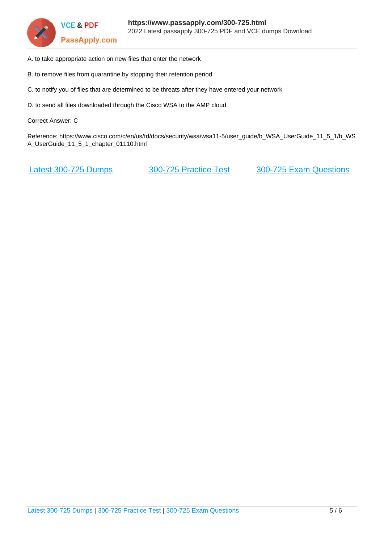

- A. to take appropriate action on new files that enter the network
- B. to remove files from quarantine by stopping their retention period
- C. to notify you of files that are determined to be threats after they have entered your network
- D. to send all files downloaded through the Cisco WSA to the AMP cloud

Correct Answer: C

Reference: https://www.cisco.com/c/en/us/td/docs/security/wsa/wsa11-5/user\_guide/b\_WSA\_UserGuide\_11\_5\_1/b\_WS A\_UserGuide\_11\_5\_1\_chapter\_01110.html

[Latest 300-725 Dumps](https://www.passapply.com/300-725.html) [300-725 Practice Test](https://www.passapply.com/300-725.html) [300-725 Exam Questions](https://www.passapply.com/300-725.html)